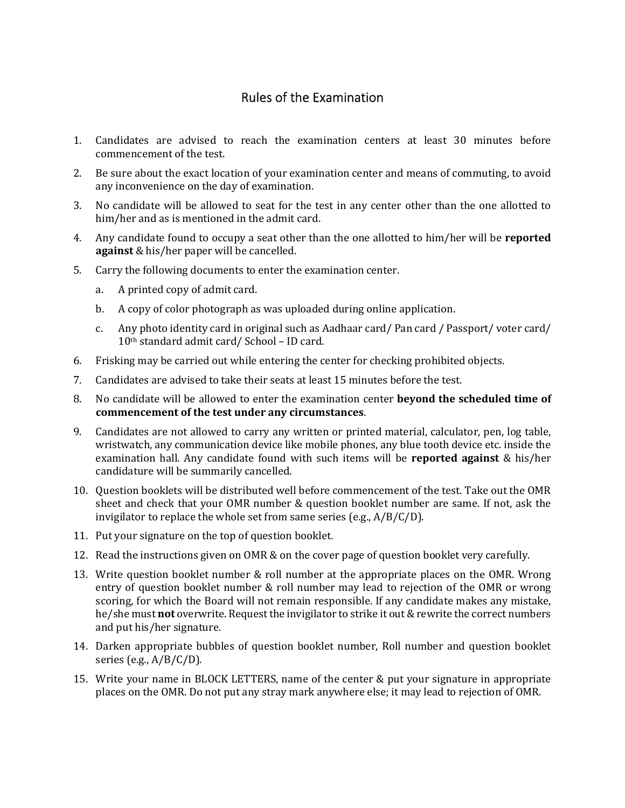## Rules of the Examination

- 1. Candidates are advised to reach the examination centers at least 30 minutes before commencement of the test.
- 2. Be sure about the exact location of your examination center and means of commuting, to avoid any inconvenience on the day of examination.
- 3. No candidate will be allowed to seat for the test in any center other than the one allotted to him/her and as is mentioned in the admit card.
- 4. Any candidate found to occupy a seat other than the one allotted to him/her will be **reported against** & his/her paper will be cancelled.
- 5. Carry the following documents to enter the examination center.
	- a. A printed copy of admit card.
	- b. A copy of color photograph as was uploaded during online application.
	- c. Any photo identity card in original such as Aadhaar card/ Pan card / Passport/ voter card/ 10th standard admit card/ School – ID card.
- 6. Frisking may be carried out while entering the center for checking prohibited objects.
- 7. Candidates are advised to take their seats at least 15 minutes before the test.
- 8. No candidate will be allowed to enter the examination center **beyond the scheduled time of commencement of the test under any circumstances**.
- 9. Candidates are not allowed to carry any written or printed material, calculator, pen, log table, wristwatch, any communication device like mobile phones, any blue tooth device etc. inside the examination hall. Any candidate found with such items will be **reported against** & his/her candidature will be summarily cancelled.
- 10. Question booklets will be distributed well before commencement of the test. Take out the OMR sheet and check that your OMR number & question booklet number are same. If not, ask the invigilator to replace the whole set from same series (e.g., A/B/C/D).
- 11. Put your signature on the top of question booklet.
- 12. Read the instructions given on OMR & on the cover page of question booklet very carefully.
- 13. Write question booklet number & roll number at the appropriate places on the OMR. Wrong entry of question booklet number & roll number may lead to rejection of the OMR or wrong scoring, for which the Board will not remain responsible. If any candidate makes any mistake, he/she must **not** overwrite. Request the invigilator to strike it out & rewrite the correct numbers and put his/her signature.
- 14. Darken appropriate bubbles of question booklet number, Roll number and question booklet series (e.g.,  $A/B/C/D$ ).
- 15. Write your name in BLOCK LETTERS, name of the center & put your signature in appropriate places on the OMR. Do not put any stray mark anywhere else; it may lead to rejection of OMR.